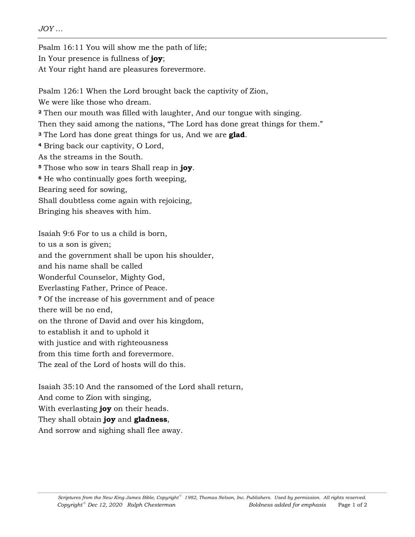*JOY …* 

Psalm 16:11 You will show me the path of life;

In Your presence is fullness of **joy**;

At Your right hand are pleasures forevermore.

Psalm 126:1 When the Lord brought back the captivity of Zion,

We were like those who dream.

**<sup>2</sup>** Then our mouth was filled with laughter, And our tongue with singing.

Then they said among the nations, "The Lord has done great things for them."

**<sup>3</sup>** The Lord has done great things for us, And we are **glad**.

**<sup>4</sup>** Bring back our captivity, O Lord,

As the streams in the South.

**<sup>5</sup>** Those who sow in tears Shall reap in **joy**.

**<sup>6</sup>** He who continually goes forth weeping,

Bearing seed for sowing,

Shall doubtless come again with rejoicing,

Bringing his sheaves with him.

Isaiah 9:6 For to us a child is born, to us a son is given; and the government shall be upon his shoulder, and his name shall be called Wonderful Counselor, Mighty God, Everlasting Father, Prince of Peace. **<sup>7</sup>** Of the increase of his government and of peace there will be no end, on the throne of David and over his kingdom, to establish it and to uphold it with justice and with righteousness from this time forth and forevermore. The zeal of the Lord of hosts will do this.

Isaiah 35:10 And the ransomed of the Lord shall return,

And come to Zion with singing,

With everlasting **joy** on their heads.

They shall obtain **joy** and **gladness**,

And sorrow and sighing shall flee away.